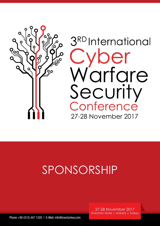

# SPONSORSHIP

27-28 November 2017 Sheraton Hotel | Ankara | Turkey

Phone +90 (312) 447 1320 | E-Mail: info@icwcturkey.com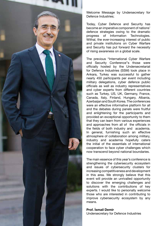

Welcome Message by Undersecretary for Defence Industries;

Today, Cyber Defence and Security has become an imperative component of nations' defence strategies owing to the dramatic progress of Information Technologies. Withal, the ever-increasing interest of public and private institutions on Cyber Warfare and Security has put forward the necessity of rising awareness on a global scale.

The previous "International Cyber Warfare and Security Conference"s those were officially hosted by the Undersecretariat for Defence Industries (SSM) took place in Ankara, Turkey was successful to gather nearly 450 participants per event including military delegations, cyber defence public officials as well as industry representatives and cyber experts from different countries such as Turkey, US, UK, Germany, France, Canada, Italy, Finland, Hungary, Albania, Azerbaijan and South Korea. The conferences were an effective informative platform for all and the debates during panels were fruitful and enlightening for the participants and provided an exceptional opportunity to them that they can learn from various experiences and approaches from all of the officials in the fields of both industry and academia. In general, furnishing such an effective atmosphere of collaboration among military, industry and academia hopefully caters the initial of the essentials of international cooperation to face cyber challenges which now transcend beyond national boundaries.

The main essence of this year's conference is strengthening the cybersecurity ecosystem and issues of cybersecurity clusters for increasing competitiveness and development in this area. We strongly believe that this event will provide an unrivalled opportunity to discover the emerging challenges and solutions with the contributions of key experts. I would like to personally welcome those who are interested in contributing to improve cybersecurity ecosystem by any means.

### Prof. İsmail Demir

Undersecretary for Defence Industries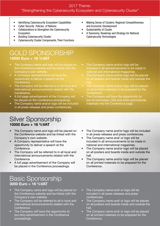#### 2017 Theme: "Strengthening the Cybersecurity Ecosystem and Cybersecurity Cluster"

- **Identifying Cybersecurity Ecosystem Capabilities**
- • Cyber Security Policies of Nations
- Collaborations to Strengthen the Cybersecurity Ecosystem
- **Building Cybersecurity Cluster**
- **Cybersecurity Cluster Components, Their Functions**

---------------------------------

- **Making Sense of Clusters: Regional Competitiveness** and Economic Development
- Sustainability of Cluster
- A Taxonomy, Roadmap and Strategy for National Cybersecurity Technologies
- GOLD SPONSORSHIP 15000 Euro + 18 %VAT
- The Company name and logo will be placed on the Conference website and be linked with the Company's own website.
- A Company representative will have the opportunity to deliver a speech at the Conference.
- The Company will be referred to in all local and international announcements related with the Conference.
- A full page advertisement of the Company will be placed on the Conference proceedings.
- The Company name and/or logo will be included in all press releases and press conferences.

## Silver Sponsorship 10000 Euro + 18 %VAT

- The Company name and logo will be placed on the Conference website and be linked with the Company's own website.
- A Company representative will have the opportunity to deliver a speech at the Conference.
- The Company will be referred to in all local and international announcements related with the Conference.
- A full page advertisement of the Company will be placed in the Conference proceedings.
- The Company name and/or logo will be included in all announcements to be made in national and international magazines.
- The Company name and/or logo will be placed on all posters and boards inside and outside the
- The Company name and/or logo will be placed on all printed materials to be prepared for the Conference.
- The Company will have the opportunity to put its brochures, CDs and other promotional materials into the Conference bags.

- The Company name and/or logo will be included in all press releases and press conferences.
- The Company name and/ or logo will be included in all announcements to be made in national and international magazines.
- The Company name and/or logo will be placed on all posters and boards inside and outside the hall.
- The Company name and/or logo will be placed on all printed materials to be prepared for the Conference.

## Basic Sponsorship 3000 Euro + 18 %VAT

- The Company name and logo will be placed on the Conference website and be linked with the Company's own website.
- The Company will be referred to all in local and international announcements related with the Conference.
- The Company will have the opportunity to put strip advertisement in the Conference proceedings.
- The Company name and/ or logo will be included in all press releases and press conferences.
- The Company name and/ or logo will be placed on all posters and boards inside and outside the hall.
- The Company name and/ or logo will be placed on all printed materials to be prepared for the Conference.